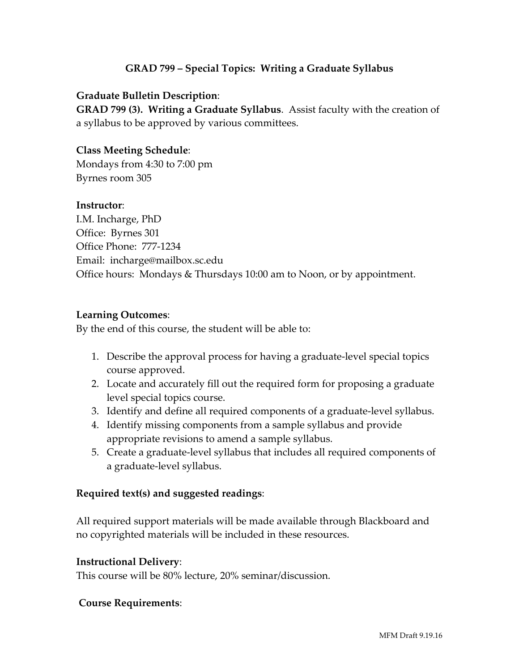## **GRAD 799 – Special Topics: Writing a Graduate Syllabus**

#### **Graduate Bulletin Description**:

**GRAD 799 (3). Writing a Graduate Syllabus**. Assist faculty with the creation of a syllabus to be approved by various committees.

### **Class Meeting Schedule**:

Mondays from 4:30 to 7:00 pm Byrnes room 305

#### **Instructor**:

I.M. Incharge, PhD Office: Byrnes 301 Office Phone: 777-1234 Email: incharge@mailbox.sc.edu Office hours: Mondays & Thursdays 10:00 am to Noon, or by appointment.

#### **Learning Outcomes**:

By the end of this course, the student will be able to:

- 1. Describe the approval process for having a graduate-level special topics course approved.
- 2. Locate and accurately fill out the required form for proposing a graduate level special topics course.
- 3. Identify and define all required components of a graduate-level syllabus.
- 4. Identify missing components from a sample syllabus and provide appropriate revisions to amend a sample syllabus.
- 5. Create a graduate-level syllabus that includes all required components of a graduate-level syllabus.

#### **Required text(s) and suggested readings**:

All required support materials will be made available through Blackboard and no copyrighted materials will be included in these resources.

#### **Instructional Delivery**:

This course will be 80% lecture, 20% seminar/discussion.

#### **Course Requirements**: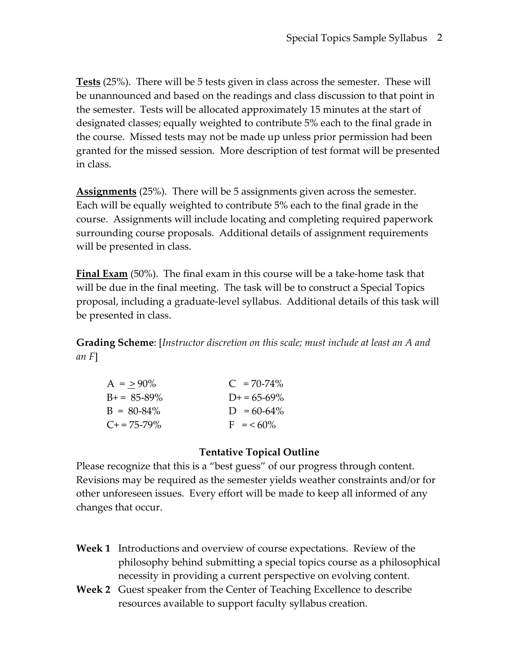**Tests** (25%). There will be 5 tests given in class across the semester. These will be unannounced and based on the readings and class discussion to that point in the semester. Tests will be allocated approximately 15 minutes at the start of designated classes; equally weighted to contribute 5% each to the final grade in the course. Missed tests may not be made up unless prior permission had been granted for the missed session. More description of test format will be presented in class.

**Assignments** (25%). There will be 5 assignments given across the semester. Each will be equally weighted to contribute 5% each to the final grade in the course. Assignments will include locating and completing required paperwork surrounding course proposals. Additional details of assignment requirements will be presented in class.

**Final Exam** (50%). The final exam in this course will be a take-home task that will be due in the final meeting. The task will be to construct a Special Topics proposal, including a graduate-level syllabus. Additional details of this task will be presented in class.

**Grading Scheme**: [*Instructor discretion on this scale; must include at least an A and an F*]

| $A = > 90\%$          | $C = 70-74\%$       |
|-----------------------|---------------------|
| $B_{+} = 85 - 89\%$   | $D_{+} = 65 - 69\%$ |
| $B = 80 - 84\%$       | $D = 60-64\%$       |
| $C_{\pm} = 75 - 79\%$ | $F = 60\%$          |

## **Tentative Topical Outline**

Please recognize that this is a "best guess" of our progress through content. Revisions may be required as the semester yields weather constraints and/or for other unforeseen issues. Every effort will be made to keep all informed of any changes that occur.

- **Week 1** Introductions and overview of course expectations. Review of the philosophy behind submitting a special topics course as a philosophical necessity in providing a current perspective on evolving content.
- **Week 2** Guest speaker from the Center of Teaching Excellence to describe resources available to support faculty syllabus creation.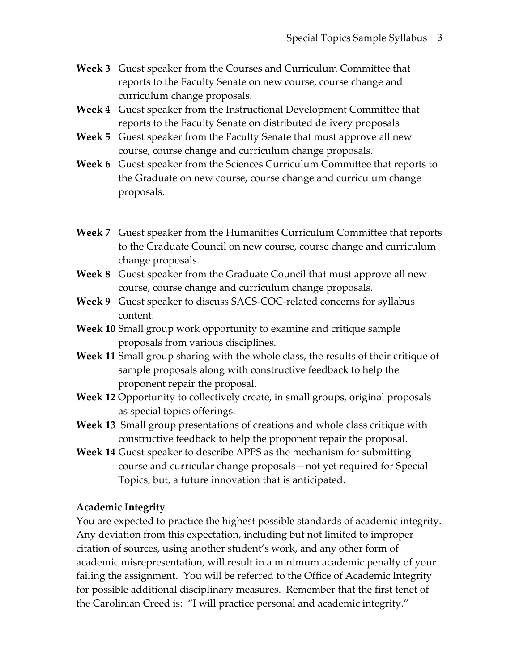- **Week 3** Guest speaker from the Courses and Curriculum Committee that reports to the Faculty Senate on new course, course change and curriculum change proposals.
- **Week 4** Guest speaker from the Instructional Development Committee that reports to the Faculty Senate on distributed delivery proposals
- **Week 5** Guest speaker from the Faculty Senate that must approve all new course, course change and curriculum change proposals.
- **Week 6** Guest speaker from the Sciences Curriculum Committee that reports to the Graduate on new course, course change and curriculum change proposals.
- **Week 7** Guest speaker from the Humanities Curriculum Committee that reports to the Graduate Council on new course, course change and curriculum change proposals.
- **Week 8** Guest speaker from the Graduate Council that must approve all new course, course change and curriculum change proposals.
- **Week 9** Guest speaker to discuss SACS-COC-related concerns for syllabus content.
- **Week 10** Small group work opportunity to examine and critique sample proposals from various disciplines.
- **Week 11** Small group sharing with the whole class, the results of their critique of sample proposals along with constructive feedback to help the proponent repair the proposal.
- **Week 12** Opportunity to collectively create, in small groups, original proposals as special topics offerings.
- **Week 13** Small group presentations of creations and whole class critique with constructive feedback to help the proponent repair the proposal.
- **Week 14** Guest speaker to describe APPS as the mechanism for submitting course and curricular change proposals—not yet required for Special Topics, but, a future innovation that is anticipated.

## **Academic Integrity**

You are expected to practice the highest possible standards of academic integrity. Any deviation from this expectation, including but not limited to improper citation of sources, using another student's work, and any other form of academic misrepresentation, will result in a minimum academic penalty of your failing the assignment. You will be referred to the Office of Academic Integrity for possible additional disciplinary measures. Remember that the first tenet of the Carolinian Creed is: "I will practice personal and academic integrity."